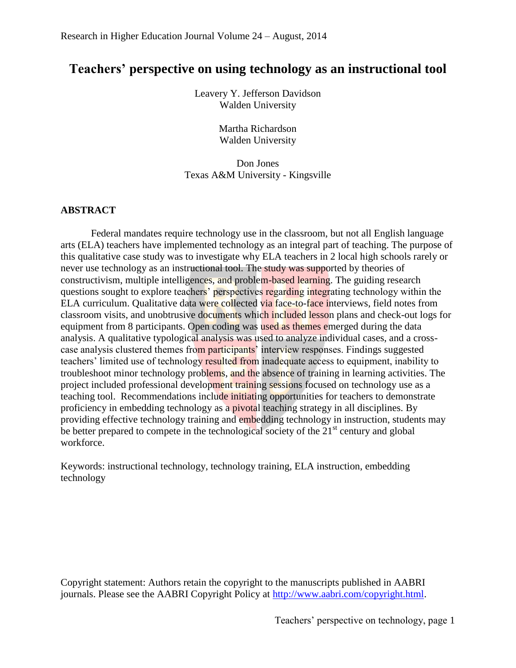# **Teachers' perspective on using technology as an instructional tool**

Leavery Y. Jefferson Davidson Walden University

> Martha Richardson Walden University

Don Jones Texas A&M University - Kingsville

### **ABSTRACT**

Federal mandates require technology use in the classroom, but not all English language arts (ELA) teachers have implemented technology as an integral part of teaching. The purpose of this qualitative case study was to investigate why ELA teachers in 2 local high schools rarely or never use technology as an instructional tool. The study was supported by theories of constructivism, multiple intelligences, and problem-based learning. The guiding research questions sought to explore teachers' perspectives regarding integrating technology within the ELA curriculum. Qualitative data were collected via face-to-face interviews, field notes from classroom visits, and unobtrusive documents which included lesson plans and check-out logs for equipment from 8 participants. Open coding was used as themes emerged during the data analysis. A qualitative typological analysis was used to analyze individual cases, and a crosscase analysis clustered themes from participants' interview responses. Findings suggested teachers' limited use of technology resulted from inadequate access to equipment, inability to troubleshoot minor technology problems, and the absence of training in learning activities. The project included professional development training sessions focused on technology use as a teaching tool. Recommendations include initiating opportunities for teachers to demonstrate proficiency in embedding technology as a pivotal teaching strategy in all disciplines. By providing effective technology training and embedding technology in instruction, students may be better prepared to compete in the technological society of the  $21<sup>st</sup>$  century and global workforce.

Keywords: instructional technology, technology training, ELA instruction, embedding technology

Copyright statement: Authors retain the copyright to the manuscripts published in AABRI journals. Please see the AABRI Copyright Policy at [http://www.aabri.com/copyright.html.](http://www.aabri.com/copyright.html)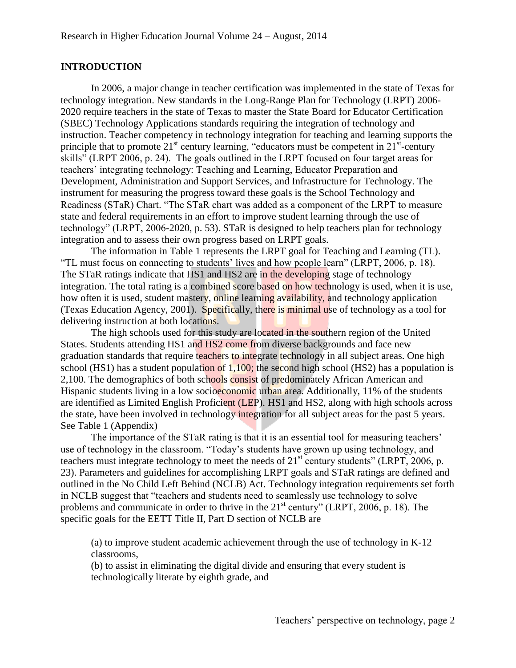### **INTRODUCTION**

In 2006, a major change in teacher certification was implemented in the state of Texas for technology integration. New standards in the Long-Range Plan for Technology (LRPT) 2006- 2020 require teachers in the state of Texas to master the State Board for Educator Certification (SBEC) Technology Applications standards requiring the integration of technology and instruction. Teacher competency in technology integration for teaching and learning supports the principle that to promote  $21^{st}$  century learning, "educators must be competent in  $21^{st}$ -century skills" (LRPT 2006, p. 24). The goals outlined in the LRPT focused on four target areas for teachers' integrating technology: Teaching and Learning, Educator Preparation and Development, Administration and Support Services, and Infrastructure for Technology. The instrument for measuring the progress toward these goals is the School Technology and Readiness (STaR) Chart. "The STaR chart was added as a component of the LRPT to measure state and federal requirements in an effort to improve student learning through the use of technology" (LRPT, 2006-2020, p. 53). STaR is designed to help teachers plan for technology integration and to assess their own progress based on LRPT goals.

The information in Table 1 represents the LRPT goal for Teaching and Learning (TL). "TL must focus on connecting to students' lives and how people learn" (LRPT, 2006, p. 18). The STaR ratings indicate that HS1 and HS2 are in the developing stage of technology integration. The total rating is a combined score based on how technology is used, when it is use, how often it is used, student mastery, online learning availability, and technology application (Texas Education Agency, 2001). Specifically, there is minimal use of technology as a tool for delivering instruction at both locations.

The high schools used for this study are located in the southern region of the United States. Students attending HS1 and HS2 come from diverse backgrounds and face new graduation standards that require teachers to integrate technology in all subject areas. One high school (HS1) has a student population of  $1,100$ ; the second high school (HS2) has a population is 2,100. The demographics of both schools consist of predominately African American and Hispanic students living in a low socioeconomic urban area. Additionally, 11% of the students are identified as Limited English Proficient (LEP). HS1 and HS2, along with high schools across the state, have been involved in technology integration for all subject areas for the past 5 years. See Table 1 (Appendix)

The importance of the STaR rating is that it is an essential tool for measuring teachers' use of technology in the classroom. "Today's students have grown up using technology, and teachers must integrate technology to meet the needs of  $21<sup>st</sup>$  century students" (LRPT, 2006, p. 23). Parameters and guidelines for accomplishing LRPT goals and STaR ratings are defined and outlined in the No Child Left Behind (NCLB) Act. Technology integration requirements set forth in NCLB suggest that "teachers and students need to seamlessly use technology to solve problems and communicate in order to thrive in the  $21<sup>st</sup>$  century" (LRPT, 2006, p. 18). The specific goals for the EETT Title II, Part D section of NCLB are

(a) to improve student academic achievement through the use of technology in K-12 classrooms,

(b) to assist in eliminating the digital divide and ensuring that every student is technologically literate by eighth grade, and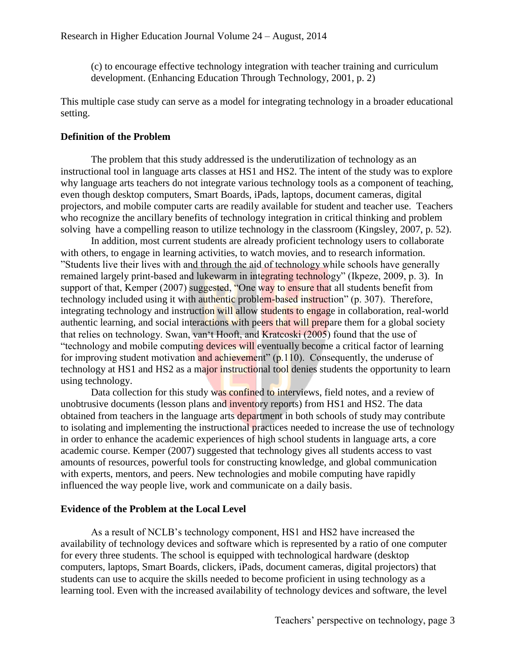(c) to encourage effective technology integration with teacher training and curriculum development. (Enhancing Education Through Technology, 2001, p. 2)

This multiple case study can serve as a model for integrating technology in a broader educational setting.

### **Definition of the Problem**

The problem that this study addressed is the underutilization of technology as an instructional tool in language arts classes at HS1 and HS2. The intent of the study was to explore why language arts teachers do not integrate various technology tools as a component of teaching, even though desktop computers, Smart Boards, iPads, laptops, document cameras, digital projectors, and mobile computer carts are readily available for student and teacher use. Teachers who recognize the ancillary benefits of technology integration in critical thinking and problem solving have a compelling reason to utilize technology in the classroom (Kingsley, 2007, p. 52).

In addition, most current students are already proficient technology users to collaborate with others, to engage in learning activities, to watch movies, and to research information. "Students live their lives with and through the aid of technology while schools have generally remained largely print-based and lukewarm in integrating technology" (Ikpeze, 2009, p. 3). In support of that, Kemper (2007) suggested, "One way to ensure that all students benefit from technology included using it with authentic problem-based instruction" (p. 307). Therefore, integrating technology and instruction will allow students to engage in collaboration, real-world authentic learning, and social interactions with peers that will prepare them for a global society that relies on technology. Swan, van't Hooft, and Kratcoski (2005) found that the use of "technology and mobile computing devices will eventually become a critical factor of learning for improving student motivation and achievement" (p.110). Consequently, the underuse of technology at HS1 and HS2 as a major instructional tool denies students the opportunity to learn using technology.

Data collection for this study was confined to interviews, field notes, and a review of unobtrusive documents (lesson plans and inventory reports) from HS1 and HS2. The data obtained from teachers in the language arts department in both schools of study may contribute to isolating and implementing the instructional practices needed to increase the use of technology in order to enhance the academic experiences of high school students in language arts, a core academic course. Kemper (2007) suggested that technology gives all students access to vast amounts of resources, powerful tools for constructing knowledge, and global communication with experts, mentors, and peers. New technologies and mobile computing have rapidly influenced the way people live, work and communicate on a daily basis.

#### **Evidence of the Problem at the Local Level**

As a result of NCLB's technology component, HS1 and HS2 have increased the availability of technology devices and software which is represented by a ratio of one computer for every three students. The school is equipped with technological hardware (desktop computers, laptops, Smart Boards, clickers, iPads, document cameras, digital projectors) that students can use to acquire the skills needed to become proficient in using technology as a learning tool. Even with the increased availability of technology devices and software, the level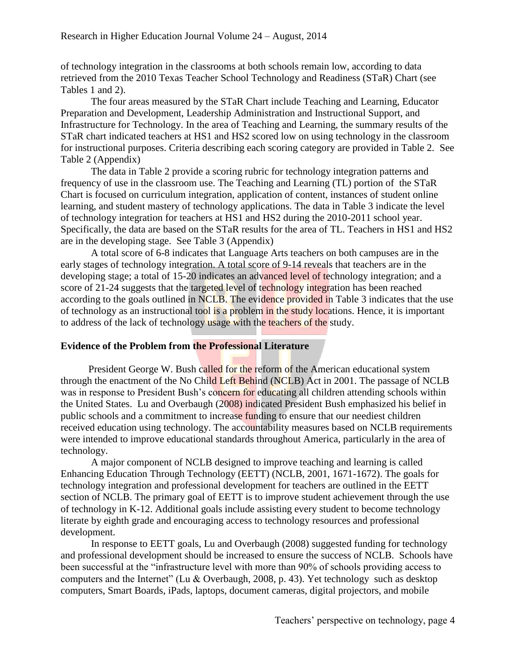of technology integration in the classrooms at both schools remain low, according to data retrieved from the 2010 Texas Teacher School Technology and Readiness (STaR) Chart (see Tables 1 and 2).

The four areas measured by the STaR Chart include Teaching and Learning, Educator Preparation and Development, Leadership Administration and Instructional Support, and Infrastructure for Technology. In the area of Teaching and Learning, the summary results of the STaR chart indicated teachers at HS1 and HS2 scored low on using technology in the classroom for instructional purposes. Criteria describing each scoring category are provided in Table 2. See Table 2 (Appendix)

The data in Table 2 provide a scoring rubric for technology integration patterns and frequency of use in the classroom use. The Teaching and Learning (TL) portion of the STaR Chart is focused on curriculum integration, application of content, instances of student online learning, and student mastery of technology applications. The data in Table 3 indicate the level of technology integration for teachers at HS1 and HS2 during the 2010-2011 school year. Specifically, the data are based on the STaR results for the area of TL. Teachers in HS1 and HS2 are in the developing stage. See Table 3 (Appendix)

A total score of 6-8 indicates that Language Arts teachers on both campuses are in the early stages of technology integration. A total score of 9-14 reveals that teachers are in the developing stage; a total of 15-20 indicates an advanced level of technology integration; and a score of 21-24 suggests that the targeted level of technology integration has been reached according to the goals outlined in NCLB. The evidence provided in Table 3 indicates that the use of technology as an instructional tool is a problem in the study locations. Hence, it is important to address of the lack of technology usage with the teachers of the study.

### **Evidence of the Problem from the Professional Literature**

President George W. Bush called for the reform of the American educational system through the enactment of the No Child Left Behind (NCLB) Act in 2001. The passage of NCLB was in response to President Bush's concern for educating all children attending schools within the United States. Lu and Overbaugh (2008) indicated President Bush emphasized his belief in public schools and a commitment to increase funding to ensure that our neediest children received education using technology. The accountability measures based on NCLB requirements were intended to improve educational standards throughout America, particularly in the area of technology.

A major component of NCLB designed to improve teaching and learning is called Enhancing Education Through Technology (EETT) (NCLB, 2001, 1671-1672). The goals for technology integration and professional development for teachers are outlined in the EETT section of NCLB. The primary goal of EETT is to improve student achievement through the use of technology in K-12. Additional goals include assisting every student to become technology literate by eighth grade and encouraging access to technology resources and professional development.

In response to EETT goals, Lu and Overbaugh (2008) suggested funding for technology and professional development should be increased to ensure the success of NCLB. Schools have been successful at the "infrastructure level with more than 90% of schools providing access to computers and the Internet" (Lu & Overbaugh, 2008, p. 43). Yet technology such as desktop computers, Smart Boards, iPads, laptops, document cameras, digital projectors, and mobile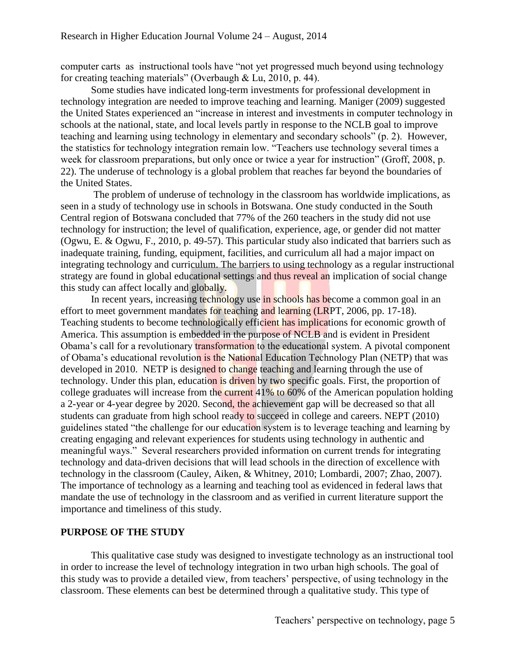computer carts as instructional tools have "not yet progressed much beyond using technology for creating teaching materials" (Overbaugh & Lu, 2010, p. 44).

Some studies have indicated long-term investments for professional development in technology integration are needed to improve teaching and learning. Maniger (2009) suggested the United States experienced an "increase in interest and investments in computer technology in schools at the national, state, and local levels partly in response to the NCLB goal to improve teaching and learning using technology in elementary and secondary schools" (p. 2). However, the statistics for technology integration remain low. "Teachers use technology several times a week for classroom preparations, but only once or twice a year for instruction" (Groff, 2008, p. 22). The underuse of technology is a global problem that reaches far beyond the boundaries of the United States.

The problem of underuse of technology in the classroom has worldwide implications, as seen in a study of technology use in schools in Botswana. One study conducted in the South Central region of Botswana concluded that 77% of the 260 teachers in the study did not use technology for instruction; the level of qualification, experience, age, or gender did not matter (Ogwu, E. & Ogwu, F., 2010, p. 49-57). This particular study also indicated that barriers such as inadequate training, funding, equipment, facilities, and curriculum all had a major impact on integrating technology and curriculum. The barriers to using technology as a regular instructional strategy are found in global educational settings and thus reveal an implication of social change this study can affect locally and globally.

In recent years, increasing technology use in schools has become a common goal in an effort to meet government mandates for teaching and learning (LRPT, 2006, pp. 17-18). Teaching students to become technologically efficient has implications for economic growth of America. This assumption is embedded in the purpose of NCLB and is evident in President Obama's call for a revolutionary transformation to the educational system. A pivotal component of Obama's educational revolution is the National Education Technology Plan (NETP) that was developed in 2010. NETP is designed to change teaching and learning through the use of technology. Under this plan, education is driven by two specific goals. First, the proportion of college graduates will increase from the current 41% to 60% of the American population holding a 2-year or 4-year degree by 2020. Second, the achievement gap will be decreased so that all students can graduate from high school ready to succeed in college and careers. NEPT (2010) guidelines stated "the challenge for our education system is to leverage teaching and learning by creating engaging and relevant experiences for students using technology in authentic and meaningful ways." Several researchers provided information on current trends for integrating technology and data-driven decisions that will lead schools in the direction of excellence with technology in the classroom (Cauley, Aiken, & Whitney, 2010; Lombardi, 2007; Zhao, 2007). The importance of technology as a learning and teaching tool as evidenced in federal laws that mandate the use of technology in the classroom and as verified in current literature support the importance and timeliness of this study.

### **PURPOSE OF THE STUDY**

This qualitative case study was designed to investigate technology as an instructional tool in order to increase the level of technology integration in two urban high schools. The goal of this study was to provide a detailed view, from teachers' perspective, of using technology in the classroom. These elements can best be determined through a qualitative study. This type of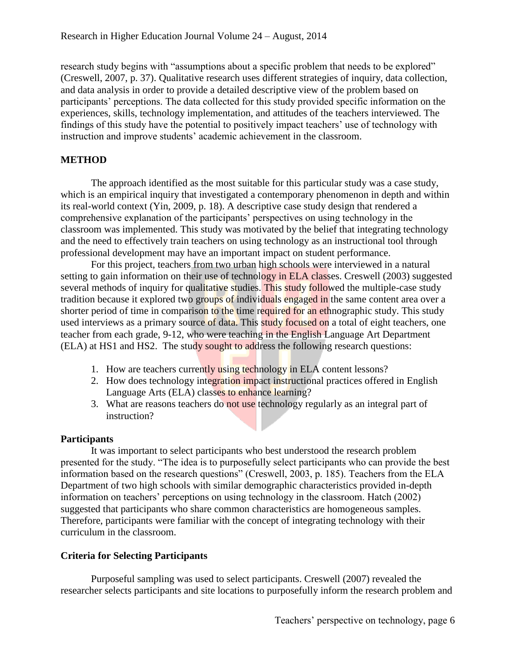research study begins with "assumptions about a specific problem that needs to be explored" (Creswell, 2007, p. 37). Qualitative research uses different strategies of inquiry, data collection, and data analysis in order to provide a detailed descriptive view of the problem based on participants' perceptions. The data collected for this study provided specific information on the experiences, skills, technology implementation, and attitudes of the teachers interviewed. The findings of this study have the potential to positively impact teachers' use of technology with instruction and improve students' academic achievement in the classroom.

### **METHOD**

The approach identified as the most suitable for this particular study was a case study, which is an empirical inquiry that investigated a contemporary phenomenon in depth and within its real-world context (Yin, 2009, p. 18). A descriptive case study design that rendered a comprehensive explanation of the participants' perspectives on using technology in the classroom was implemented. This study was motivated by the belief that integrating technology and the need to effectively train teachers on using technology as an instructional tool through professional development may have an important impact on student performance.

For this project, teachers from two urban high schools were interviewed in a natural setting to gain information on their use of technology in ELA classes. Creswell (2003) suggested several methods of inquiry for qualitative studies. This study followed the multiple-case study tradition because it explored two groups of individuals engaged in the same content area over a shorter period of time in comparison to the time required for an ethnographic study. This study used interviews as a primary source of data. This study focused on a total of eight teachers, one teacher from each grade, 9-12, who were teaching in the English Language Art Department (ELA) at HS1 and HS2. The study sought to address the following research questions:

- 1. How are teachers currently using technology in ELA content lessons?
- 2. How does technology integration impact instructional practices offered in English Language Arts (ELA) classes to enhance learning?
- 3. What are reasons teachers do not use technology regularly as an integral part of instruction?

### **Participants**

It was important to select participants who best understood the research problem presented for the study. "The idea is to purposefully select participants who can provide the best information based on the research questions" (Creswell, 2003, p. 185). Teachers from the ELA Department of two high schools with similar demographic characteristics provided in-depth information on teachers' perceptions on using technology in the classroom. Hatch (2002) suggested that participants who share common characteristics are homogeneous samples. Therefore, participants were familiar with the concept of integrating technology with their curriculum in the classroom.

### **Criteria for Selecting Participants**

Purposeful sampling was used to select participants. Creswell (2007) revealed the researcher selects participants and site locations to purposefully inform the research problem and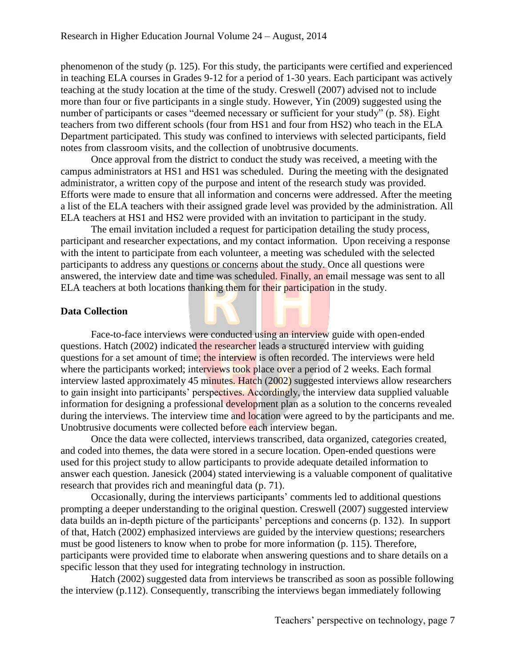phenomenon of the study (p. 125). For this study, the participants were certified and experienced in teaching ELA courses in Grades 9-12 for a period of 1-30 years. Each participant was actively teaching at the study location at the time of the study. Creswell (2007) advised not to include more than four or five participants in a single study. However, Yin (2009) suggested using the number of participants or cases "deemed necessary or sufficient for your study" (p. 58). Eight teachers from two different schools (four from HS1 and four from HS2) who teach in the ELA Department participated. This study was confined to interviews with selected participants, field notes from classroom visits, and the collection of unobtrusive documents.

Once approval from the district to conduct the study was received, a meeting with the campus administrators at HS1 and HS1 was scheduled. During the meeting with the designated administrator, a written copy of the purpose and intent of the research study was provided. Efforts were made to ensure that all information and concerns were addressed. After the meeting a list of the ELA teachers with their assigned grade level was provided by the administration. All ELA teachers at HS1 and HS2 were provided with an invitation to participant in the study.

The email invitation included a request for participation detailing the study process, participant and researcher expectations, and my contact information. Upon receiving a response with the intent to participate from each volunteer, a meeting was scheduled with the selected participants to address any questions or concerns about the study. Once all questions were answered, the interview date and time was scheduled. Finally, an email message was sent to all ELA teachers at both locations thanking them for their participation in the study.

### **Data Collection**

Face-to-face interviews were conducted using an interview guide with open-ended questions. Hatch (2002) indicated the researcher leads a structured interview with guiding questions for a set amount of time; the interview is often recorded. The interviews were held where the participants worked; interviews took place over a period of 2 weeks. Each formal interview lasted approximately 45 minutes. Hatch (2002) suggested interviews allow researchers to gain insight into participants' perspectives. Accordingly, the interview data supplied valuable information for designing a professional development plan as a solution to the concerns revealed during the interviews. The interview time and location were agreed to by the participants and me. Unobtrusive documents were collected before each interview began.

Once the data were collected, interviews transcribed, data organized, categories created, and coded into themes, the data were stored in a secure location. Open-ended questions were used for this project study to allow participants to provide adequate detailed information to answer each question. Janesick (2004) stated interviewing is a valuable component of qualitative research that provides rich and meaningful data (p. 71).

Occasionally, during the interviews participants' comments led to additional questions prompting a deeper understanding to the original question. Creswell (2007) suggested interview data builds an in-depth picture of the participants' perceptions and concerns (p. 132). In support of that, Hatch (2002) emphasized interviews are guided by the interview questions; researchers must be good listeners to know when to probe for more information (p. 115). Therefore, participants were provided time to elaborate when answering questions and to share details on a specific lesson that they used for integrating technology in instruction.

Hatch (2002) suggested data from interviews be transcribed as soon as possible following the interview (p.112). Consequently, transcribing the interviews began immediately following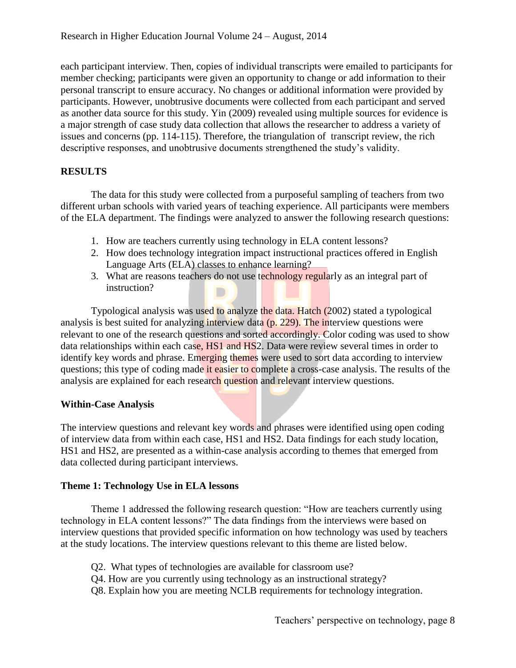each participant interview. Then, copies of individual transcripts were emailed to participants for member checking; participants were given an opportunity to change or add information to their personal transcript to ensure accuracy. No changes or additional information were provided by participants. However, unobtrusive documents were collected from each participant and served as another data source for this study. Yin (2009) revealed using multiple sources for evidence is a major strength of case study data collection that allows the researcher to address a variety of issues and concerns (pp. 114-115). Therefore, the triangulation of transcript review, the rich descriptive responses, and unobtrusive documents strengthened the study's validity.

## **RESULTS**

The data for this study were collected from a purposeful sampling of teachers from two different urban schools with varied years of teaching experience. All participants were members of the ELA department. The findings were analyzed to answer the following research questions:

- 1. How are teachers currently using technology in ELA content lessons?
- 2. How does technology integration impact instructional practices offered in English Language Arts (ELA) classes to enhance learning?
- 3. What are reasons teachers do not use technology regularly as an integral part of instruction?

Typological analysis was used to analyze the data. Hatch (2002) stated a typological analysis is best suited for analyzing interview data (p. 229). The interview questions were relevant to one of the research questions and sorted accordingly. Color coding was used to show data relationships within each case, HS1 and HS2. Data were review several times in order to identify key words and phrase. Emerging themes were used to sort data according to interview questions; this type of coding made it easier to complete a cross-case analysis. The results of the analysis are explained for each research question and relevant interview questions.

### **Within-Case Analysis**

The interview questions and relevant key words and phrases were identified using open coding of interview data from within each case, HS1 and HS2. Data findings for each study location, HS1 and HS2, are presented as a within-case analysis according to themes that emerged from data collected during participant interviews.

### **Theme 1: Technology Use in ELA lessons**

Theme 1 addressed the following research question: "How are teachers currently using technology in ELA content lessons?" The data findings from the interviews were based on interview questions that provided specific information on how technology was used by teachers at the study locations. The interview questions relevant to this theme are listed below.

- Q2. What types of technologies are available for classroom use?
- Q4. How are you currently using technology as an instructional strategy?
- Q8. Explain how you are meeting NCLB requirements for technology integration.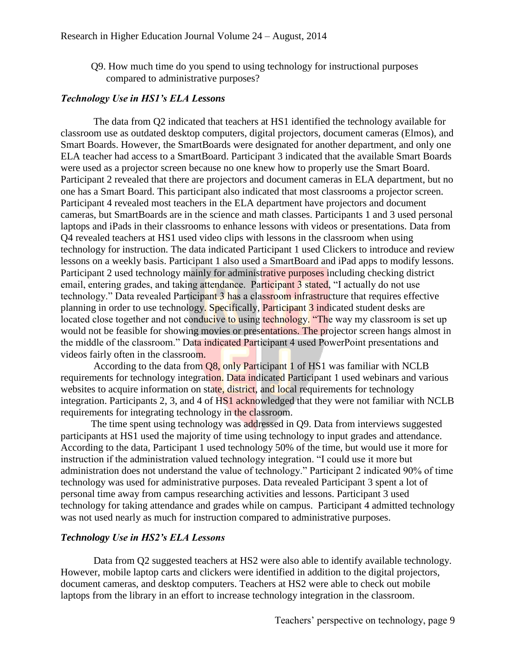Q9. How much time do you spend to using technology for instructional purposes compared to administrative purposes?

#### *Technology Use in HS1's ELA Lessons*

The data from Q2 indicated that teachers at HS1 identified the technology available for classroom use as outdated desktop computers, digital projectors, document cameras (Elmos), and Smart Boards. However, the SmartBoards were designated for another department, and only one ELA teacher had access to a SmartBoard. Participant 3 indicated that the available Smart Boards were used as a projector screen because no one knew how to properly use the Smart Board. Participant 2 revealed that there are projectors and document cameras in ELA department, but no one has a Smart Board. This participant also indicated that most classrooms a projector screen. Participant 4 revealed most teachers in the ELA department have projectors and document cameras, but SmartBoards are in the science and math classes. Participants 1 and 3 used personal laptops and iPads in their classrooms to enhance lessons with videos or presentations. Data from Q4 revealed teachers at HS1 used video clips with lessons in the classroom when using technology for instruction. The data indicated Participant 1 used Clickers to introduce and review lessons on a weekly basis. Participant 1 also used a SmartBoard and iPad apps to modify lessons. Participant 2 used technology mainly for administrative purposes including checking district email, entering grades, and taking attendance. Participant 3 stated, "I actually do not use technology." Data revealed Participant 3 has a classroom infrastructure that requires effective planning in order to use technology. Specifically, Participant 3 indicated student desks are located close together and not conducive to using technology. "The way my classroom is set up would not be feasible for showing movies or presentations. The projector screen hangs almost in the middle of the classroom." Data indicated Participant 4 used PowerPoint presentations and videos fairly often in the classroom.

According to the data from Q8, only Participant 1 of HS1 was familiar with NCLB requirements for technology integration. Data indicated Participant 1 used webinars and various websites to acquire information on state, district, and local requirements for technology integration. Participants 2, 3, and 4 of HS1 acknowledged that they were not familiar with NCLB requirements for integrating technology in the classroom.

The time spent using technology was addressed in Q9. Data from interviews suggested participants at HS1 used the majority of time using technology to input grades and attendance. According to the data, Participant 1 used technology 50% of the time, but would use it more for instruction if the administration valued technology integration. "I could use it more but administration does not understand the value of technology." Participant 2 indicated 90% of time technology was used for administrative purposes. Data revealed Participant 3 spent a lot of personal time away from campus researching activities and lessons. Participant 3 used technology for taking attendance and grades while on campus. Participant 4 admitted technology was not used nearly as much for instruction compared to administrative purposes.

#### *Technology Use in HS2's ELA Lessons*

Data from Q2 suggested teachers at HS2 were also able to identify available technology. However, mobile laptop carts and clickers were identified in addition to the digital projectors, document cameras, and desktop computers. Teachers at HS2 were able to check out mobile laptops from the library in an effort to increase technology integration in the classroom.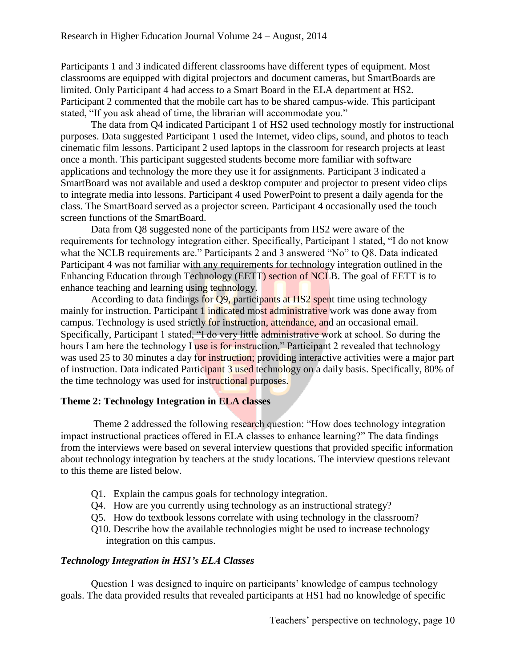Participants 1 and 3 indicated different classrooms have different types of equipment. Most classrooms are equipped with digital projectors and document cameras, but SmartBoards are limited. Only Participant 4 had access to a Smart Board in the ELA department at HS2. Participant 2 commented that the mobile cart has to be shared campus-wide. This participant stated, "If you ask ahead of time, the librarian will accommodate you."

The data from Q4 indicated Participant 1 of HS2 used technology mostly for instructional purposes. Data suggested Participant 1 used the Internet, video clips, sound, and photos to teach cinematic film lessons. Participant 2 used laptops in the classroom for research projects at least once a month. This participant suggested students become more familiar with software applications and technology the more they use it for assignments. Participant 3 indicated a SmartBoard was not available and used a desktop computer and projector to present video clips to integrate media into lessons. Participant 4 used PowerPoint to present a daily agenda for the class. The SmartBoard served as a projector screen. Participant 4 occasionally used the touch screen functions of the SmartBoard.

Data from Q8 suggested none of the participants from HS2 were aware of the requirements for technology integration either. Specifically, Participant 1 stated, "I do not know what the NCLB requirements are." Participants 2 and 3 answered "No" to Q8. Data indicated Participant 4 was not familiar with any requirements for technology integration outlined in the Enhancing Education through Technology (EETT) section of NCLB. The goal of EETT is to enhance teaching and learning using technology.

According to data findings for Q9, participants at HS2 spent time using technology mainly for instruction. Participant 1 indicated most administrative work was done away from campus. Technology is used strictly for instruction, attendance, and an occasional email. Specifically, Participant 1 stated, "I do very little administrative work at school. So during the hours I am here the technology I use is for instruction." Participant 2 revealed that technology was used 25 to 30 minutes a day for instruction; providing interactive activities were a major part of instruction. Data indicated Participant 3 used technology on a daily basis. Specifically, 80% of the time technology was used for instructional purposes.

### **Theme 2: Technology Integration in ELA classes**

 Theme 2 addressed the following research question: "How does technology integration impact instructional practices offered in ELA classes to enhance learning?" The data findings from the interviews were based on several interview questions that provided specific information about technology integration by teachers at the study locations. The interview questions relevant to this theme are listed below.

- Q1. Explain the campus goals for technology integration.
- Q4. How are you currently using technology as an instructional strategy?
- Q5. How do textbook lessons correlate with using technology in the classroom?
- Q10. Describe how the available technologies might be used to increase technology integration on this campus.

### *Technology Integration in HS1's ELA Classes*

Question 1 was designed to inquire on participants' knowledge of campus technology goals. The data provided results that revealed participants at HS1 had no knowledge of specific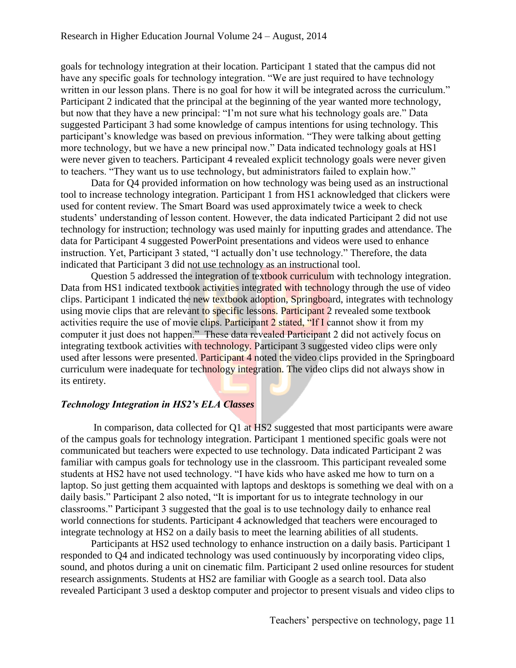goals for technology integration at their location. Participant 1 stated that the campus did not have any specific goals for technology integration. "We are just required to have technology written in our lesson plans. There is no goal for how it will be integrated across the curriculum." Participant 2 indicated that the principal at the beginning of the year wanted more technology, but now that they have a new principal: "I'm not sure what his technology goals are." Data suggested Participant 3 had some knowledge of campus intentions for using technology. This participant's knowledge was based on previous information. "They were talking about getting more technology, but we have a new principal now." Data indicated technology goals at HS1 were never given to teachers. Participant 4 revealed explicit technology goals were never given to teachers. "They want us to use technology, but administrators failed to explain how."

Data for Q4 provided information on how technology was being used as an instructional tool to increase technology integration. Participant 1 from HS1 acknowledged that clickers were used for content review. The Smart Board was used approximately twice a week to check students' understanding of lesson content. However, the data indicated Participant 2 did not use technology for instruction; technology was used mainly for inputting grades and attendance. The data for Participant 4 suggested PowerPoint presentations and videos were used to enhance instruction. Yet, Participant 3 stated, "I actually don't use technology." Therefore, the data indicated that Participant 3 did not use technology as an instructional tool.

Question 5 addressed the integration of textbook curriculum with technology integration. Data from HS1 indicated textbook activities integrated with technology through the use of video clips. Participant 1 indicated the new textbook adoption, Springboard, integrates with technology using movie clips that are relevant to specific lessons. Participant 2 revealed some textbook activities require the use of movie clips. Participant 2 stated, "If I cannot show it from my computer it just does not happen." These data revealed Participant 2 did not actively focus on integrating textbook activities with technology. Participant 3 suggested video clips were only used after lessons were presented. Participant 4 noted the video clips provided in the Springboard curriculum were inadequate for technology integration. The video clips did not always show in its entirety.

### *Technology Integration in HS2's ELA Classes*

In comparison, data collected for Q1 at HS2 suggested that most participants were aware of the campus goals for technology integration. Participant 1 mentioned specific goals were not communicated but teachers were expected to use technology. Data indicated Participant 2 was familiar with campus goals for technology use in the classroom. This participant revealed some students at HS2 have not used technology. "I have kids who have asked me how to turn on a laptop. So just getting them acquainted with laptops and desktops is something we deal with on a daily basis." Participant 2 also noted, "It is important for us to integrate technology in our classrooms." Participant 3 suggested that the goal is to use technology daily to enhance real world connections for students. Participant 4 acknowledged that teachers were encouraged to integrate technology at HS2 on a daily basis to meet the learning abilities of all students.

Participants at HS2 used technology to enhance instruction on a daily basis. Participant 1 responded to Q4 and indicated technology was used continuously by incorporating video clips, sound, and photos during a unit on cinematic film. Participant 2 used online resources for student research assignments. Students at HS2 are familiar with Google as a search tool. Data also revealed Participant 3 used a desktop computer and projector to present visuals and video clips to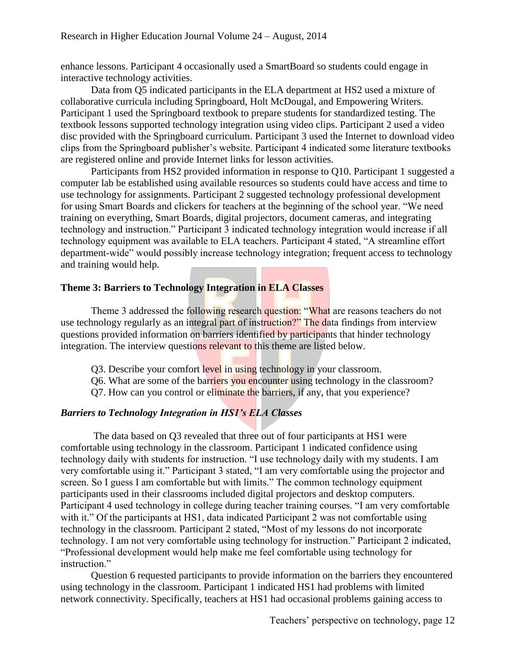enhance lessons. Participant 4 occasionally used a SmartBoard so students could engage in interactive technology activities.

Data from Q5 indicated participants in the ELA department at HS2 used a mixture of collaborative curricula including Springboard, Holt McDougal, and Empowering Writers. Participant 1 used the Springboard textbook to prepare students for standardized testing. The textbook lessons supported technology integration using video clips. Participant 2 used a video disc provided with the Springboard curriculum. Participant 3 used the Internet to download video clips from the Springboard publisher's website. Participant 4 indicated some literature textbooks are registered online and provide Internet links for lesson activities.

Participants from HS2 provided information in response to Q10. Participant 1 suggested a computer lab be established using available resources so students could have access and time to use technology for assignments. Participant 2 suggested technology professional development for using Smart Boards and clickers for teachers at the beginning of the school year. "We need training on everything, Smart Boards, digital projectors, document cameras, and integrating technology and instruction." Participant 3 indicated technology integration would increase if all technology equipment was available to ELA teachers. Participant 4 stated, "A streamline effort department-wide" would possibly increase technology integration; frequent access to technology and training would help.

### **Theme 3: Barriers to Technology Integration in ELA Classes**

Theme 3 addressed the following research question: "What are reasons teachers do not use technology regularly as an integral part of instruction?" The data findings from interview questions provided information on barriers identified by participants that hinder technology integration. The interview questions relevant to this theme are listed below.

- Q3. Describe your comfort level in using technology in your classroom.
- Q6. What are some of the barriers you encounter using technology in the classroom?
- Q7. How can you control or eliminate the barriers, if any, that you experience?

### *Barriers to Technology Integration in HS1's ELA Classes*

The data based on Q3 revealed that three out of four participants at HS1 were comfortable using technology in the classroom. Participant 1 indicated confidence using technology daily with students for instruction. "I use technology daily with my students. I am very comfortable using it." Participant 3 stated, "I am very comfortable using the projector and screen. So I guess I am comfortable but with limits." The common technology equipment participants used in their classrooms included digital projectors and desktop computers. Participant 4 used technology in college during teacher training courses. "I am very comfortable with it." Of the participants at HS1, data indicated Participant 2 was not comfortable using technology in the classroom. Participant 2 stated, "Most of my lessons do not incorporate technology. I am not very comfortable using technology for instruction." Participant 2 indicated, "Professional development would help make me feel comfortable using technology for instruction."

Question 6 requested participants to provide information on the barriers they encountered using technology in the classroom. Participant 1 indicated HS1 had problems with limited network connectivity. Specifically, teachers at HS1 had occasional problems gaining access to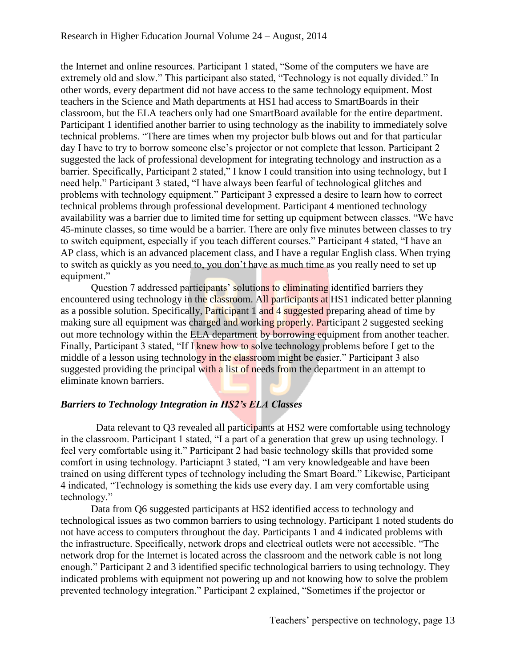the Internet and online resources. Participant 1 stated, "Some of the computers we have are extremely old and slow." This participant also stated, "Technology is not equally divided." In other words, every department did not have access to the same technology equipment. Most teachers in the Science and Math departments at HS1 had access to SmartBoards in their classroom, but the ELA teachers only had one SmartBoard available for the entire department. Participant 1 identified another barrier to using technology as the inability to immediately solve technical problems. "There are times when my projector bulb blows out and for that particular day I have to try to borrow someone else's projector or not complete that lesson. Participant 2 suggested the lack of professional development for integrating technology and instruction as a barrier. Specifically, Participant 2 stated," I know I could transition into using technology, but I need help." Participant 3 stated, "I have always been fearful of technological glitches and problems with technology equipment." Participant 3 expressed a desire to learn how to correct technical problems through professional development. Participant 4 mentioned technology availability was a barrier due to limited time for setting up equipment between classes. "We have 45-minute classes, so time would be a barrier. There are only five minutes between classes to try to switch equipment, especially if you teach different courses." Participant 4 stated, "I have an AP class, which is an advanced placement class, and I have a regular English class. When trying to switch as quickly as you need to, you don't have as much time as you really need to set up equipment."

Question 7 addressed participants' solutions to eliminating identified barriers they encountered using technology in the classroom. All participants at HS1 indicated better planning as a possible solution. Specifically, Participant 1 and 4 suggested preparing ahead of time by making sure all equipment was charged and working properly. Participant 2 suggested seeking out more technology within the ELA department by borrowing equipment from another teacher. Finally, Participant 3 stated, "If I knew how to solve technology problems before I get to the middle of a lesson using technology in the classroom might be easier." Participant 3 also suggested providing the principal with a list of needs from the department in an attempt to eliminate known barriers.

### *Barriers to Technology Integration in HS2's ELA Classes*

Data relevant to O3 revealed all participants at HS2 were comfortable using technology in the classroom. Participant 1 stated, "I a part of a generation that grew up using technology. I feel very comfortable using it." Participant 2 had basic technology skills that provided some comfort in using technology. Particiapnt 3 stated, "I am very knowledgeable and have been trained on using different types of technology including the Smart Board." Likewise, Participant 4 indicated, "Technology is something the kids use every day. I am very comfortable using technology."

Data from Q6 suggested participants at HS2 identified access to technology and technological issues as two common barriers to using technology. Participant 1 noted students do not have access to computers throughout the day. Participants 1 and 4 indicated problems with the infrastructure. Specifically, network drops and electrical outlets were not accessible. "The network drop for the Internet is located across the classroom and the network cable is not long enough." Participant 2 and 3 identified specific technological barriers to using technology. They indicated problems with equipment not powering up and not knowing how to solve the problem prevented technology integration." Participant 2 explained, "Sometimes if the projector or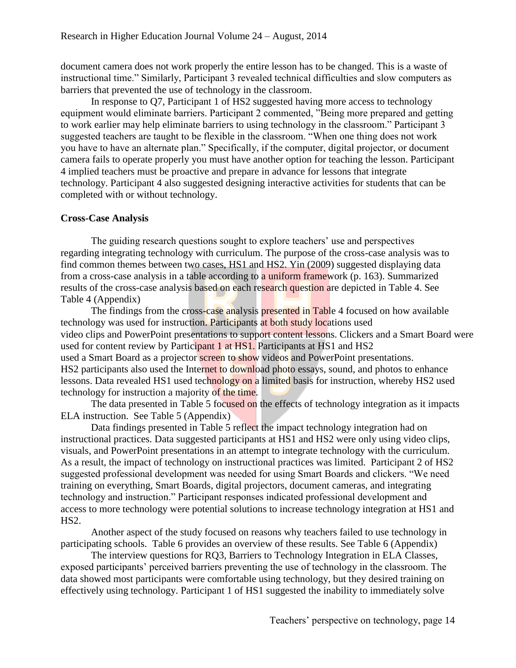document camera does not work properly the entire lesson has to be changed. This is a waste of instructional time." Similarly, Participant 3 revealed technical difficulties and slow computers as barriers that prevented the use of technology in the classroom.

In response to Q7, Participant 1 of HS2 suggested having more access to technology equipment would eliminate barriers. Participant 2 commented, "Being more prepared and getting to work earlier may help eliminate barriers to using technology in the classroom." Participant 3 suggested teachers are taught to be flexible in the classroom. "When one thing does not work you have to have an alternate plan." Specifically, if the computer, digital projector, or document camera fails to operate properly you must have another option for teaching the lesson. Participant 4 implied teachers must be proactive and prepare in advance for lessons that integrate technology. Participant 4 also suggested designing interactive activities for students that can be completed with or without technology.

### **Cross-Case Analysis**

The guiding research questions sought to explore teachers' use and perspectives regarding integrating technology with curriculum. The purpose of the cross-case analysis was to find common themes between two cases, HS1 and HS2. Yin (2009) suggested displaying data from a cross-case analysis in a table according to a uniform framework (p. 163). Summarized results of the cross-case analysis based on each research question are depicted in Table 4. See Table 4 (Appendix)

The findings from the cross-case analysis presented in Table 4 focused on how available technology was used for instruction. Participants at both study locations used video clips and PowerPoint presentations to support content lessons. Clickers and a Smart Board were used for content review by Participant 1 at HS1. Participants at HS1 and HS2 used a Smart Board as a projector screen to show videos and PowerPoint presentations. HS2 participants also used the Internet to download photo essays, sound, and photos to enhance lessons. Data revealed HS1 used technology on a limited basis for instruction, whereby HS2 used technology for instruction a majority of the time.

The data presented in Table 5 focused on the effects of technology integration as it impacts ELA instruction. See Table 5 (Appendix)

Data findings presented in Table 5 reflect the impact technology integration had on instructional practices. Data suggested participants at HS1 and HS2 were only using video clips, visuals, and PowerPoint presentations in an attempt to integrate technology with the curriculum. As a result, the impact of technology on instructional practices was limited. Participant 2 of HS2 suggested professional development was needed for using Smart Boards and clickers. "We need training on everything, Smart Boards, digital projectors, document cameras, and integrating technology and instruction." Participant responses indicated professional development and access to more technology were potential solutions to increase technology integration at HS1 and HS2.

Another aspect of the study focused on reasons why teachers failed to use technology in participating schools. Table 6 provides an overview of these results. See Table 6 (Appendix)

The interview questions for RQ3, Barriers to Technology Integration in ELA Classes, exposed participants' perceived barriers preventing the use of technology in the classroom. The data showed most participants were comfortable using technology, but they desired training on effectively using technology. Participant 1 of HS1 suggested the inability to immediately solve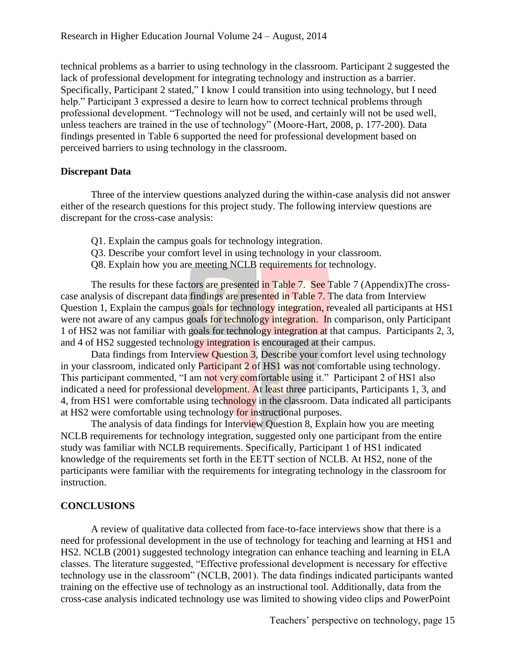technical problems as a barrier to using technology in the classroom. Participant 2 suggested the lack of professional development for integrating technology and instruction as a barrier. Specifically, Participant 2 stated," I know I could transition into using technology, but I need help." Participant 3 expressed a desire to learn how to correct technical problems through professional development. "Technology will not be used, and certainly will not be used well, unless teachers are trained in the use of technology" (Moore-Hart, 2008, p. 177-200). Data findings presented in Table 6 supported the need for professional development based on perceived barriers to using technology in the classroom.

### **Discrepant Data**

Three of the interview questions analyzed during the within-case analysis did not answer either of the research questions for this project study. The following interview questions are discrepant for the cross-case analysis:

- Q1. Explain the campus goals for technology integration.
- Q3. Describe your comfort level in using technology in your classroom.
- Q8. Explain how you are meeting NCLB requirements for technology.

The results for these factors are presented in Table 7. See Table 7 (Appendix) The crosscase analysis of discrepant data findings are presented in Table 7. The data from Interview Question 1, Explain the campus goals for technology integration, revealed all participants at HS1 were not aware of any campus goals for technology integration. In comparison, only Participant 1 of HS2 was not familiar with goals for technology integration at that campus. Participants 2, 3, and 4 of HS2 suggested technology integration is encouraged at their campus.

Data findings from Interview Question 3, Describe your comfort level using technology in your classroom, indicated only Participant 2 of HS1 was not comfortable using technology. This participant commented, "I am not very comfortable using it." Participant 2 of HS1 also indicated a need for professional development. At least three participants, Participants 1, 3, and 4, from HS1 were comfortable using technology in the classroom. Data indicated all participants at HS2 were comfortable using technology for instructional purposes.

The analysis of data findings for Interview Question 8, Explain how you are meeting NCLB requirements for technology integration, suggested only one participant from the entire study was familiar with NCLB requirements. Specifically, Participant 1 of HS1 indicated knowledge of the requirements set forth in the EETT section of NCLB. At HS2, none of the participants were familiar with the requirements for integrating technology in the classroom for instruction.

### **CONCLUSIONS**

A review of qualitative data collected from face-to-face interviews show that there is a need for professional development in the use of technology for teaching and learning at HS1 and HS2. NCLB (2001) suggested technology integration can enhance teaching and learning in ELA classes. The literature suggested, "Effective professional development is necessary for effective technology use in the classroom" (NCLB, 2001). The data findings indicated participants wanted training on the effective use of technology as an instructional tool. Additionally, data from the cross-case analysis indicated technology use was limited to showing video clips and PowerPoint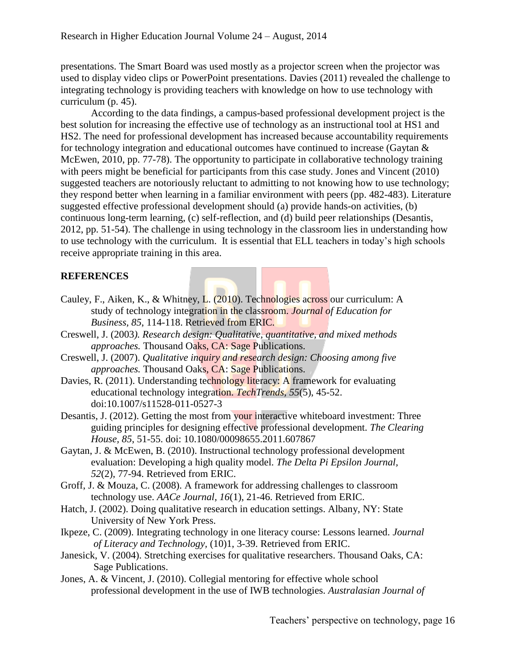presentations. The Smart Board was used mostly as a projector screen when the projector was used to display video clips or PowerPoint presentations. Davies (2011) revealed the challenge to integrating technology is providing teachers with knowledge on how to use technology with curriculum (p. 45).

According to the data findings, a campus-based professional development project is the best solution for increasing the effective use of technology as an instructional tool at HS1 and HS2. The need for professional development has increased because accountability requirements for technology integration and educational outcomes have continued to increase (Gaytan & McEwen, 2010, pp. 77-78). The opportunity to participate in collaborative technology training with peers might be beneficial for participants from this case study. Jones and Vincent (2010) suggested teachers are notoriously reluctant to admitting to not knowing how to use technology; they respond better when learning in a familiar environment with peers (pp. 482-483). Literature suggested effective professional development should (a) provide hands-on activities, (b) continuous long-term learning, (c) self-reflection, and (d) build peer relationships (Desantis, 2012, pp. 51-54). The challenge in using technology in the classroom lies in understanding how to use technology with the curriculum. It is essential that ELL teachers in today's high schools receive appropriate training in this area.

### **REFERENCES**

- Cauley, F., Aiken, K., & Whitney, L. (2010). Technologies across our curriculum: A study of technology integration in the classroom. *Journal of Education for Business, 85*, 114-118. Retrieved from ERIC.
- Creswell, J. (2003*). Research design: Qualitative, quantitative, and mixed methods approaches.* Thousand Oaks, CA: Sage Publications.
- Creswell, J. (2007). *Qualitative inquiry and research design: Choosing among five approaches.* Thousand Oaks, CA: Sage Publications.
- Davies, R. (2011). Understanding technology literacy: A framework for evaluating educational technology integration. *TechTrends, 55*(5), 45-52. doi:10.1007/s11528-011-0527-3
- Desantis, J. (2012). Getting the most from your interactive whiteboard investment: Three guiding principles for designing effective professional development. *The Clearing House, 85*, 51-55. doi: 10.1080/00098655.2011.607867
- Gaytan, J. & McEwen, B. (2010). Instructional technology professional development evaluation: Developing a high quality model. *The Delta Pi Epsilon Journal, 52*(2), 77-94. Retrieved from ERIC.
- Groff, J. & Mouza, C. (2008). A framework for addressing challenges to classroom technology use. *AACe Journal, 16*(1), 21-46. Retrieved from ERIC.
- Hatch, J. (2002). Doing qualitative research in education settings. Albany, NY: State University of New York Press.
- Ikpeze, C. (2009). Integrating technology in one literacy course: Lessons learned. *Journal of Literacy and Technology,* (10)1, 3-39. Retrieved from ERIC.
- Janesick, V. (2004). Stretching exercises for qualitative researchers. Thousand Oaks, CA: Sage Publications.
- Jones, A. & Vincent, J. (2010). Collegial mentoring for effective whole school professional development in the use of IWB technologies. *Australasian Journal of*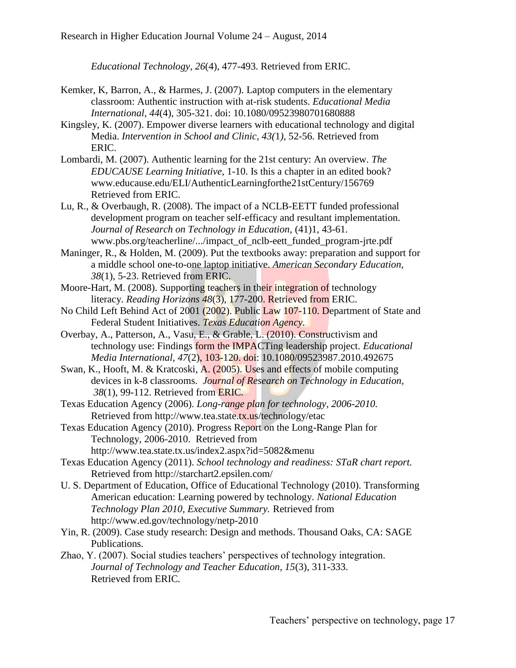*Educational Technology, 26*(4), 477-493. Retrieved from ERIC.

- Kemker, K, Barron, A., & Harmes, J. (2007). Laptop computers in the elementary classroom: Authentic instruction with at-risk students. *Educational Media International, 44*(4), 305-321. doi: 10.1080/09523980701680888
- Kingsley, K. (2007). Empower diverse learners with educational technology and digital Media. *Intervention in School and Clinic, 43(*1*),* 52-56. Retrieved from ERIC.
- Lombardi, M. (2007). Authentic learning for the 21st century: An overview. *The EDUCAUSE Learning Initiative,* 1-10. Is this a chapter in an edited book? www.educause.edu/ELI/AuthenticLearningforthe21stCentury/156769 Retrieved from ERIC.
- Lu, R., & Overbaugh, R. (2008). The impact of a NCLB-EETT funded professional development program on teacher self-efficacy and resultant implementation. *Journal of Research on Technology in Education,* (41)1, 43-61. www.pbs.org/teacherline/.../impact\_of\_nclb-eett\_funded\_program-jrte.pdf
- Maninger, R., & Holden, M. (2009). Put the textbooks away: preparation and support for a middle school one-to-one laptop initiative. *American Secondary Education, 38*(1), 5-23. Retrieved from ERIC.
- Moore-Hart, M. (2008). Supporting teachers in their integration of technology literacy. *Reading Horizons 48*(3), 177-200. Retrieved from ERIC.
- No Child Left Behind Act of 2001 (2002). Public Law 107-110. Department of State and Federal Student Initiatives. *Texas Education Agency.*
- Overbay, A., Patterson, A., Vasu, E., & Grable, L. (2010). Constructivism and technology use: Findings form the IMPACTing leadership project. *Educational Media International, 47*(2), 103-120. doi: 10.1080/09523987.2010.492675
- Swan, K., Hooft, M. & Kratcoski, A. (2005). Uses and effects of mobile computing devices in k-8 classrooms. *Journal of Research on Technology in Education, 38*(1), 99-112. Retrieved from ERIC*.*
- Texas Education Agency (2006). *Long-range plan for technology, 2006-2010.*  Retrieved from http://www.tea.state.tx.us/technology/etac
- Texas Education Agency (2010). Progress Report on the Long-Range Plan for Technology, 2006-2010. Retrieved from http://www.tea.state.tx.us/index2.aspx?id=5082&menu
- Texas Education Agency (2011). *School technology and readiness: STaR chart report.*  Retrieved from http://starchart2.epsilen.com/
- U. S. Department of Education, Office of Educational Technology (2010). Transforming American education: Learning powered by technology. *National Education Technology Plan 2010, Executive Summary.* Retrieved from http://www.ed.gov/technology/netp-2010
- Yin, R. (2009). Case study research: Design and methods. Thousand Oaks, CA: SAGE Publications.
- Zhao, Y. (2007). Social studies teachers' perspectives of technology integration. *Journal of Technology and Teacher Education, 15*(3), 311-333. Retrieved from ERIC*.*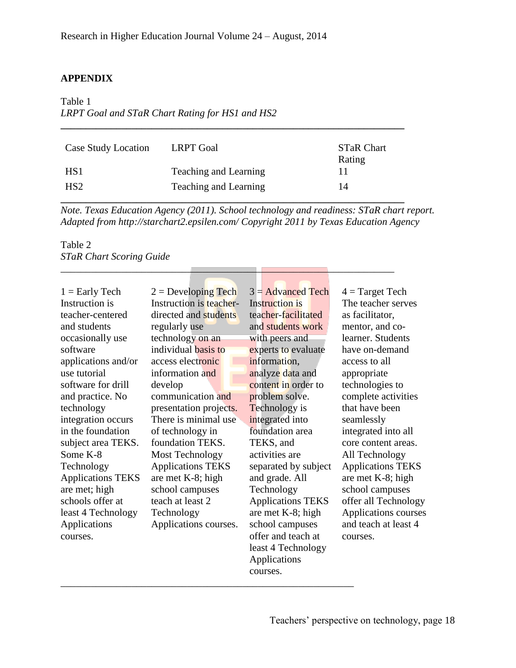### **APPENDIX**

### Table 1 *LRPT Goal and STaR Chart Rating for HS1 and HS2*

| Case Study Location | <b>LRPT</b> Goal      | <b>STaR Chart</b><br>Rating |
|---------------------|-----------------------|-----------------------------|
| HS <sub>1</sub>     | Teaching and Learning |                             |
| HS <sub>2</sub>     | Teaching and Learning | 14                          |

\_\_\_\_\_\_\_\_\_\_\_\_\_\_\_\_\_\_\_\_\_\_\_\_\_\_\_\_\_\_\_\_\_\_\_\_\_\_\_\_\_\_\_\_\_\_\_\_\_\_\_\_\_\_\_\_\_\_\_\_\_\_\_\_\_\_

**\_\_\_\_\_\_\_\_\_\_\_\_\_\_\_\_\_\_\_\_\_\_\_\_\_\_\_\_\_\_\_\_\_\_\_\_\_\_\_\_\_\_\_\_\_\_\_\_\_\_\_\_\_\_\_\_\_\_\_\_\_\_\_\_\_\_\_\_**

*Note. Texas Education Agency (2011). School technology and readiness: STaR chart report. Adapted from http://starchart2.epsilen.com/ Copyright 2011 by Texas Education Agency*

### Table 2 *STaR Chart Scoring Guide*

| $1 =$ Early Tech         | $2 =$ Developing Tech    | $3 =$ Advanced Tech      | $4 = Target Tech$        |
|--------------------------|--------------------------|--------------------------|--------------------------|
| Instruction is           | Instruction is teacher-  | <b>Instruction is</b>    | The teacher serves       |
| teacher-centered         | directed and students    | teacher-facilitated      | as facilitator,          |
| and students             | regularly use            | and students work        | mentor, and co-          |
| occasionally use         | technology on an         | with peers and           | learner. Students        |
| software                 | individual basis to      | experts to evaluate      | have on-demand           |
| applications and/or      | access electronic        | information,             | access to all            |
| use tutorial             | information and          | analyze data and         | appropriate              |
| software for drill       | develop                  | content in order to      | technologies to          |
| and practice. No         | communication and        | problem solve.           | complete activities      |
| technology               | presentation projects.   | <b>Technology</b> is     | that have been           |
| integration occurs       | There is minimal use     | integrated into          | seamlessly               |
| in the foundation        | of technology in         | foundation area          | integrated into all      |
| subject area TEKS.       | foundation TEKS.         | TEKS, and                | core content areas.      |
| Some K-8                 | <b>Most Technology</b>   | activities are           | All Technology           |
| Technology               | <b>Applications TEKS</b> | separated by subject     | <b>Applications TEKS</b> |
| <b>Applications TEKS</b> | are met K-8; high        | and grade. All           | are met K-8; high        |
| are met; high            | school campuses          | Technology               | school campuses          |
| schools offer at         | teach at least 2         | <b>Applications TEKS</b> | offer all Technology     |
| least 4 Technology       | Technology               | are met K-8; high        | Applications courses     |
| <b>Applications</b>      | Applications courses.    | school campuses          | and teach at least 4     |
| courses.                 |                          | offer and teach at       | courses.                 |
|                          |                          | least 4 Technology       |                          |
|                          |                          | Applications             |                          |
|                          |                          | courses.                 |                          |

\_\_\_\_\_\_\_\_\_\_\_\_\_\_\_\_\_\_\_\_\_\_\_\_\_\_\_\_\_\_\_\_\_\_\_\_\_\_\_\_\_\_\_\_\_\_\_\_\_\_\_\_\_\_\_\_\_\_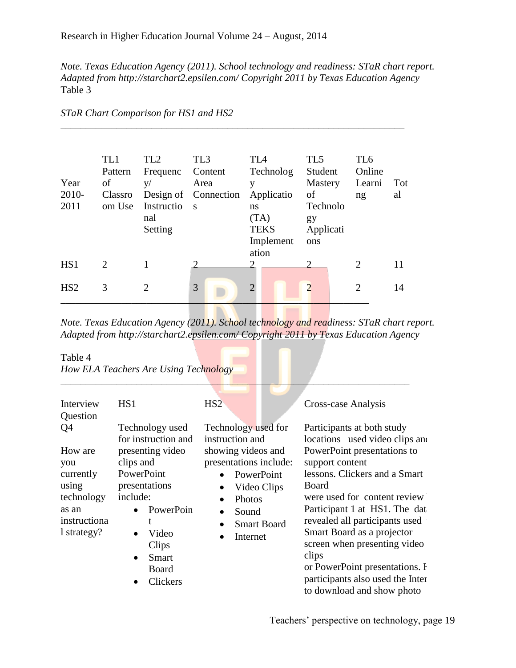*Note. Texas Education Agency (2011). School technology and readiness: STaR chart report. Adapted from http://starchart2.epsilen.com/ Copyright 2011 by Texas Education Agency* Table 3

| Year<br>2010-<br>2011 | TL1<br>Pattern<br>of<br>Classro<br>om Use | TL <sub>2</sub><br>Frequenc<br>V/<br>Instructio<br>nal<br>Setting | TL <sub>3</sub><br>Content<br>Area<br>Design of Connection<br>$\overline{\mathbf{s}}$ | TL <sub>4</sub><br>Technolog<br>y<br>Applicatio<br>ns<br>(TA)<br><b>TEKS</b><br>Implement | TL5<br>Student<br><b>Mastery</b><br>of<br>Technolo<br>gy<br>Applicati<br>ons | TL <sub>6</sub><br>Online<br>Learni<br>ng | Tot<br>al |
|-----------------------|-------------------------------------------|-------------------------------------------------------------------|---------------------------------------------------------------------------------------|-------------------------------------------------------------------------------------------|------------------------------------------------------------------------------|-------------------------------------------|-----------|
| HS <sub>1</sub>       | 2                                         |                                                                   |                                                                                       | ation<br>2                                                                                | $\overline{2}$                                                               | 2                                         | 11        |
| HS <sub>2</sub>       | 3                                         | $\overline{2}$                                                    | 3                                                                                     | $\Omega$                                                                                  | $\overline{2}$                                                               | 2                                         | 14        |

\_\_\_\_\_\_\_\_\_\_\_\_\_\_\_\_\_\_\_\_\_\_\_\_\_\_\_\_\_\_\_\_\_\_\_\_\_\_\_\_\_\_\_\_\_\_\_\_\_\_\_\_\_\_\_\_\_\_\_\_\_\_\_\_\_\_\_\_

### *STaR Chart Comparison for HS1 and HS2*

*Note. Texas Education Agency (2011). School technology and readiness: STaR chart report. Adapted from http://starchart2.epsilen.com/ Copyright 2011 by Texas Education Agency*

*\_\_\_\_\_\_\_\_\_\_\_\_\_\_\_\_\_\_\_\_\_\_\_\_\_\_\_\_\_\_\_\_\_\_\_\_\_\_\_\_\_\_\_\_\_\_\_\_\_\_\_\_\_\_\_\_\_\_\_\_\_\_\_\_\_\_\_\_\_*

Table 4

*How ELA Teachers Are Using Technology*

| Interview    | HS1                   | HS <sub>2</sub>                 | Cross-case Analysis              |
|--------------|-----------------------|---------------------------------|----------------------------------|
| Question     |                       |                                 |                                  |
| Q4           | Technology used       | Technology used for             | Participants at both study       |
|              | for instruction and   | instruction and                 | locations used video clips and   |
| How are      | presenting video      | showing videos and              | PowerPoint presentations to      |
| you          | clips and             | presentations include:          | support content                  |
| currently    | PowerPoint            | PowerPoint<br>$\bullet$         | lessons. Clickers and a Smart    |
| using        | presentations         | Video Clips<br>$\bullet$        | <b>Board</b>                     |
| technology   | include:              | Photos<br>$\bullet$             | were used for content review     |
| as an        | PowerPoin             | Sound<br>$\bullet$              | Participant 1 at HS1. The dat    |
| instructiona | t                     | <b>Smart Board</b><br>$\bullet$ | revealed all participants used   |
| 1 strategy?  | Video<br>$\bullet$    | Internet<br>$\bullet$           | Smart Board as a projector       |
|              | Clips                 |                                 | screen when presenting video     |
|              | Smart<br>$\bullet$    |                                 | clips                            |
|              | Board                 |                                 | or PowerPoint presentations. I   |
|              | Clickers<br>$\bullet$ |                                 | participants also used the Inter |
|              |                       |                                 | to download and show photo       |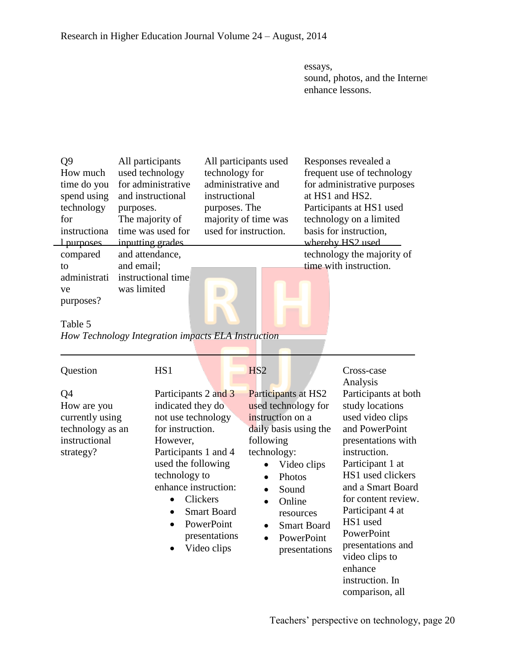essays, sound, photos, and the Internet enhance lessons.

| Q <sub>9</sub><br>How much<br>time do you<br>spend using<br>technology<br>for<br>instructiona<br>1 purposes<br>compared<br>to<br>administrati | purposes.<br>and email; | All participants<br>used technology<br>for administrative<br>and instructional<br>The majority of<br>time was used for<br>inputting grades<br>and attendance,<br>instructional time                        | technology for<br>instructional<br>purposes. The                             | All participants used<br>administrative and<br>majority of time was<br>used for instruction.           |                                                                                                                                                                                   | Responses revealed a<br>frequent use of technology<br>for administrative purposes<br>at HS1 and HS2.<br>Participants at HS1 used<br>technology on a limited<br>basis for instruction,<br>whereby HS2 used<br>technology the majority of<br>time with instruction.                                                                  |
|-----------------------------------------------------------------------------------------------------------------------------------------------|-------------------------|------------------------------------------------------------------------------------------------------------------------------------------------------------------------------------------------------------|------------------------------------------------------------------------------|--------------------------------------------------------------------------------------------------------|-----------------------------------------------------------------------------------------------------------------------------------------------------------------------------------|------------------------------------------------------------------------------------------------------------------------------------------------------------------------------------------------------------------------------------------------------------------------------------------------------------------------------------|
| ve<br>purposes?<br>Table 5<br>How Technology Integration impacts ELA Instruction                                                              | was limited             |                                                                                                                                                                                                            |                                                                              |                                                                                                        |                                                                                                                                                                                   |                                                                                                                                                                                                                                                                                                                                    |
| Question<br>Q <sub>4</sub><br>How are you<br>currently using<br>technology as an<br>instructional<br>strategy?                                |                         | HS1<br>Participants 2 and 3<br>indicated they do<br>not use technology<br>for instruction.<br>However,<br>Participants 1 and 4<br>used the following<br>technology to<br>enhance instruction:<br>$\bullet$ | Clickers<br><b>Smart Board</b><br>PowerPoint<br>presentations<br>Video clips | H <sub>S2</sub><br>instruction on a<br>following<br>technology:<br>$\bullet$<br>$\bullet$<br>$\bullet$ | Participants at HS2<br>used technology for<br>daily basis using the<br>Video clips<br>Photos<br>Sound<br>Online<br>resources<br><b>Smart Board</b><br>PowerPoint<br>presentations | Cross-case<br>Analysis<br>Participants at both<br>study locations<br>used video clips<br>and PowerPoint<br>presentations with<br>instruction.<br>Participant 1 at<br>HS1 used clickers<br>and a Smart Board<br>for content review.<br>Participant 4 at<br>HS1 used<br>PowerPoint<br>presentations and<br>video clips to<br>enhance |

Teachers' perspective on technology, page 20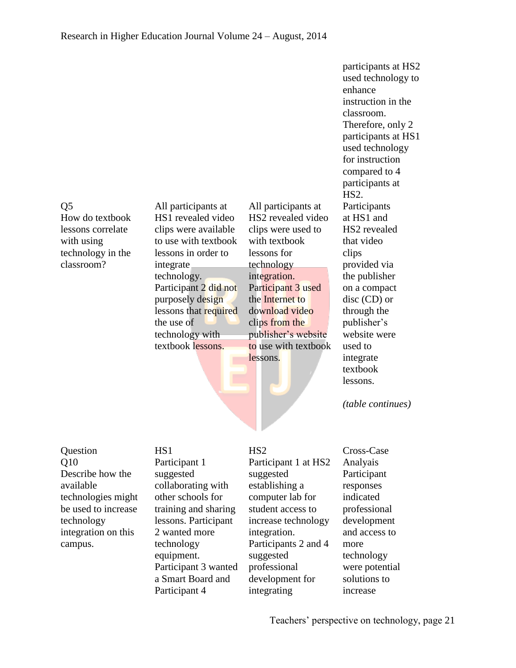# $O<sub>5</sub>$ How do textbook lessons correlate

with using technology in the classroom?

All participants at HS1 revealed video clips were available to use with textbook lessons in order to integrate technology. Participant 2 did not purposely design lessons that required the use of technology with textbook lessons.

All participants at HS2 revealed video clips were used to with textbook lessons for technology integration. Participant 3 used the Internet to download video clips from the publisher's website to use with textbook lessons.

participants at HS2 used technology to enhance instruction in the classroom. Therefore, only 2 participants at HS1 used technology for instruction compared to 4 participants at HS2. Participants at HS1 and HS2 revealed that video clips provided via the publisher on a compact disc (CD) or through the publisher's website were used to integrate textbook lessons.

*(table continues)*

### **Ouestion** Q10 Describe how the available technologies might be used to increase technology integration on this campus.

HS1 Participant 1 suggested collaborating with other schools for training and sharing lessons. Participant 2 wanted more technology equipment. Participant 3 wanted a Smart Board and Participant 4

## HS2

Participant 1 at HS2 suggested establishing a computer lab for student access to increase technology integration. Participants 2 and 4 suggested professional development for integrating

Cross-Case Analyais Participant responses indicated professional development and access to more technology were potential solutions to increase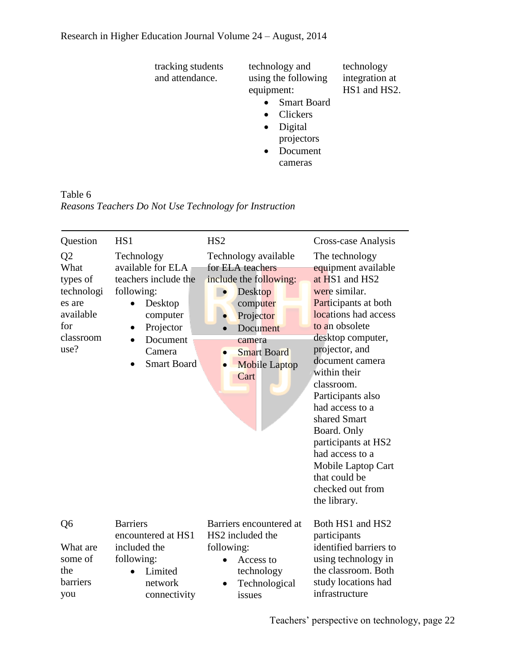| tracking students<br>and attendance. | technology and<br>using the following<br>equipment: | technology<br>integration at<br>HS1 and HS2. |
|--------------------------------------|-----------------------------------------------------|----------------------------------------------|
|                                      | <b>Smart Board</b>                                  |                                              |
|                                      | Clickers                                            |                                              |
|                                      | Digital<br>$\bullet$                                |                                              |
|                                      | projectors                                          |                                              |
|                                      | Document                                            |                                              |

cameras

Table 6 *Reasons Teachers Do Not Use Technology for Instruction*

| Question                                                                                            | HS1                                                                                                                                                                                          | HS <sub>2</sub>                                                                                                                                                                                                                  | Cross-case Analysis                                                                                                                                                                                                                                                                                                                                                                                                            |
|-----------------------------------------------------------------------------------------------------|----------------------------------------------------------------------------------------------------------------------------------------------------------------------------------------------|----------------------------------------------------------------------------------------------------------------------------------------------------------------------------------------------------------------------------------|--------------------------------------------------------------------------------------------------------------------------------------------------------------------------------------------------------------------------------------------------------------------------------------------------------------------------------------------------------------------------------------------------------------------------------|
| Q <sub>2</sub><br>What<br>types of<br>technologi<br>es are<br>available<br>for<br>classroom<br>use? | Technology<br>available for ELA<br>teachers include the<br>following:<br>Desktop<br>$\bullet$<br>computer<br>Projector<br>Document<br>$\bullet$<br>Camera<br><b>Smart Board</b><br>$\bullet$ | Technology available<br>for ELA teachers<br>include the following:<br><b>Desktop</b><br>$\bullet$<br>computer<br>Projector<br>Document<br>camera<br><b>Smart Board</b><br>$\bullet$<br><b>Mobile Laptop</b><br>$\bullet$<br>Cart | The technology<br>equipment available<br>at HS1 and HS2<br>were similar.<br>Participants at both<br>locations had access<br>to an obsolete<br>desktop computer,<br>projector, and<br>document camera<br>within their<br>classroom.<br>Participants also<br>had access to a<br>shared Smart<br>Board. Only<br>participants at HS2<br>had access to a<br>Mobile Laptop Cart<br>that could be<br>checked out from<br>the library. |
| Q <sub>6</sub>                                                                                      | <b>Barriers</b><br>encountered at HS1                                                                                                                                                        | Barriers encountered at<br>HS2 included the                                                                                                                                                                                      | Both HS1 and HS2<br>participants                                                                                                                                                                                                                                                                                                                                                                                               |
| What are<br>some of<br>the<br>barriers<br>you                                                       | included the<br>following:<br>Limited<br>network<br>connectivity                                                                                                                             | following:<br>Access to<br>technology<br>Technological<br>issues                                                                                                                                                                 | identified barriers to<br>using technology in<br>the classroom. Both<br>study locations had<br>infrastructure                                                                                                                                                                                                                                                                                                                  |

Teachers' perspective on technology, page 22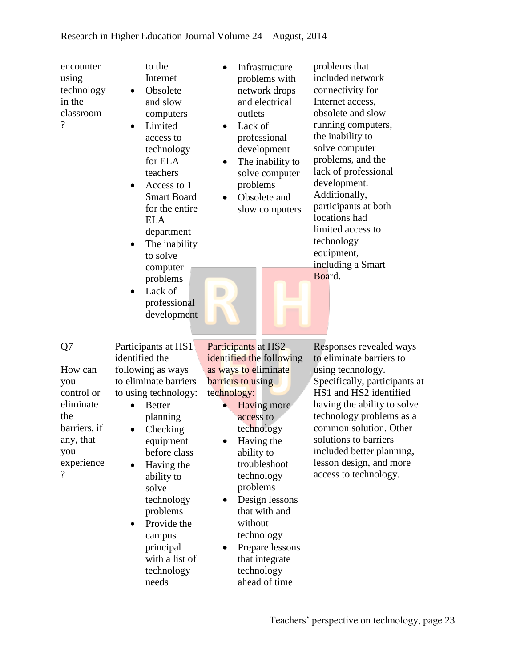encounter using technology in the classroom  $\gamma$ 

- to the Internet • Obsolete and slow computers
- Limited access to technology for ELA teachers
- Access to 1 Smart Board for the entire ELA department
- The inability to solve computer problems
- Lack of professional development
- Infrastructure problems with network drops and electrical outlets
- Lack of professional development
- The inability to solve computer problems
- Obsolete and slow computers

problems that included network connectivity for Internet access, obsolete and slow running computers, the inability to solve computer problems, and the lack of professional development. Additionally, participants at both locations had limited access to technology equipment, including a Smart Board.

Q7 How can you control or eliminate the barriers, if any, that you experience

?

Participants at HS1 identified the following as ways to eliminate barriers to using technology: • Better

- planning
- Checking equipment before class
- Having the ability to solve technology problems
- Provide the campus principal with a list of technology needs

Participants at HS2 identified the following as ways to eliminate barriers to using technology:

- Having more access to technology
- Having the ability to troubleshoot technology problems
- Design lessons that with and without technology
- Prepare lessons that integrate technology ahead of time

Responses revealed ways to eliminate barriers to using technology. Specifically, participants at HS1 and HS2 identified having the ability to solve technology problems as a common solution. Other solutions to barriers included better planning, lesson design, and more access to technology.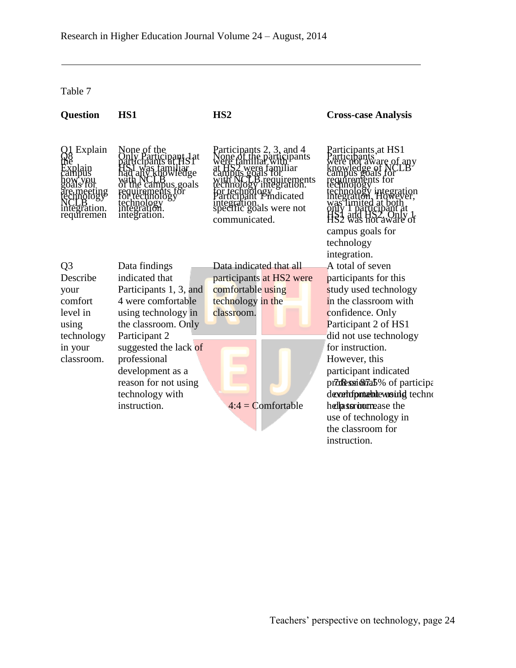# Table 7

| <b>Question</b>                                           | HS1                                                                                                                 | HS <sub>2</sub>                                                                                                                                                                                         | <b>Cross-case Analysis</b>                                                                                                                                                                           |
|-----------------------------------------------------------|---------------------------------------------------------------------------------------------------------------------|---------------------------------------------------------------------------------------------------------------------------------------------------------------------------------------------------------|------------------------------------------------------------------------------------------------------------------------------------------------------------------------------------------------------|
| Explain<br>meeting<br>nology<br>ntegration.<br>requiremen | None of the<br>any knowledge<br>campus goals<br>ements för<br>hnology<br>technology<br>integration.<br>integration. | Participants 2, 3, and 4<br>.participants<br>S2 were familiar<br>pus goals for<br>B requirements<br>or technology<br>articipant Prindicated<br>integration.<br>specific goals were not<br>communicated. | Parțicipanțs, at HS1<br>cibants<br>cibants<br>are of any<br>Põals tor<br>Jgy integration<br>ion, However<br>Iimited at both<br>ly I participant at<br>campus goals for<br>technology<br>integration. |
| Q <sub>3</sub>                                            | Data findings                                                                                                       | Data indicated that all                                                                                                                                                                                 | A total of seven                                                                                                                                                                                     |
| Describe                                                  | indicated that                                                                                                      | participants at HS2 were                                                                                                                                                                                | participants for this                                                                                                                                                                                |
| your                                                      | Participants 1, 3, and                                                                                              | comfortable using                                                                                                                                                                                       | study used technology                                                                                                                                                                                |
| comfort                                                   | 4 were comfortable                                                                                                  | technology in the                                                                                                                                                                                       | in the classroom with                                                                                                                                                                                |
| level in                                                  | using technology in                                                                                                 | classroom.                                                                                                                                                                                              | confidence. Only                                                                                                                                                                                     |
| using                                                     | the classroom. Only                                                                                                 |                                                                                                                                                                                                         | Participant 2 of HS1                                                                                                                                                                                 |
| technology                                                | Participant 2                                                                                                       |                                                                                                                                                                                                         | did not use technology                                                                                                                                                                               |
| in your                                                   | suggested the lack of                                                                                               |                                                                                                                                                                                                         | for instruction.                                                                                                                                                                                     |
| classroom.                                                | professional                                                                                                        |                                                                                                                                                                                                         | However, this                                                                                                                                                                                        |
|                                                           | development as a                                                                                                    |                                                                                                                                                                                                         | participant indicated                                                                                                                                                                                |
|                                                           | reason for not using                                                                                                |                                                                                                                                                                                                         | prodessionally of participal                                                                                                                                                                         |
|                                                           | technology with                                                                                                     |                                                                                                                                                                                                         | devertripmente wounded techno                                                                                                                                                                        |
|                                                           | instruction.                                                                                                        | $4:4 =$ Comfortable                                                                                                                                                                                     | hellassromomease the                                                                                                                                                                                 |
|                                                           |                                                                                                                     |                                                                                                                                                                                                         | use of technology in                                                                                                                                                                                 |
|                                                           |                                                                                                                     |                                                                                                                                                                                                         | the classroom for                                                                                                                                                                                    |
|                                                           |                                                                                                                     |                                                                                                                                                                                                         | instruction.                                                                                                                                                                                         |